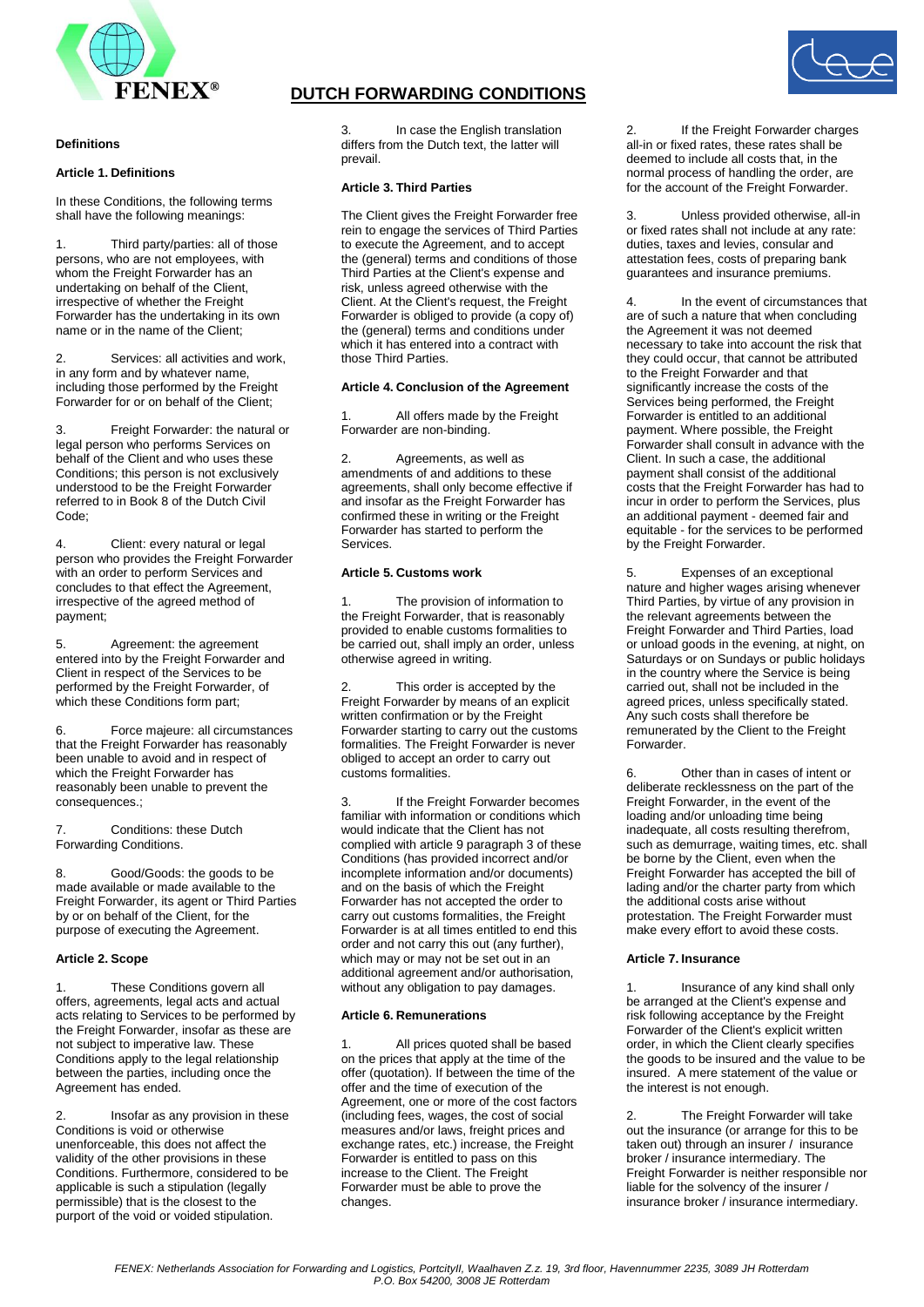

### **Definitions**

### **Article 1. Definitions**

In these Conditions, the following terms shall have the following meanings:

1. Third party/parties: all of those persons, who are not employees, with whom the Freight Forwarder has an undertaking on behalf of the Client, irrespective of whether the Freight Forwarder has the undertaking in its own name or in the name of the Client;

2. Services: all activities and work, in any form and by whatever name, including those performed by the Freight Forwarder for or on behalf of the Client;

3. Freight Forwarder: the natural or legal person who performs Services on behalf of the Client and who uses these Conditions; this person is not exclusively understood to be the Freight Forwarder referred to in Book 8 of the Dutch Civil Code;

4. Client: every natural or legal person who provides the Freight Forwarder with an order to perform Services and concludes to that effect the Agreement, irrespective of the agreed method of payment;

5. Agreement: the agreement entered into by the Freight Forwarder and Client in respect of the Services to be performed by the Freight Forwarder, of which these Conditions form part;

6. Force majeure: all circumstances that the Freight Forwarder has reasonably been unable to avoid and in respect of which the Freight Forwarder has reasonably been unable to prevent the consequences.;

7. Conditions: these Dutch Forwarding Conditions.

8. Good/Goods: the goods to be made available or made available to the Freight Forwarder, its agent or Third Parties by or on behalf of the Client, for the purpose of executing the Agreement.

## **Article 2. Scope**

1. These Conditions govern all offers, agreements, legal acts and actual acts relating to Services to be performed by the Freight Forwarder, insofar as these are not subject to imperative law. These Conditions apply to the legal relationship between the parties, including once the Agreement has ended.

2. Insofar as any provision in these Conditions is void or otherwise unenforceable, this does not affect the validity of the other provisions in these Conditions. Furthermore, considered to be applicable is such a stipulation (legally permissible) that is the closest to the purport of the void or voided stipulation.

# **DUTCH FORWARDING CONDITIONS**

In case the English translation differs from the Dutch text, the latter will prevail.

### **Article 3. Third Parties**

The Client gives the Freight Forwarder free rein to engage the services of Third Parties to execute the Agreement, and to accept the (general) terms and conditions of those Third Parties at the Client's expense and risk, unless agreed otherwise with the Client. At the Client's request, the Freight Forwarder is obliged to provide (a copy of) the (general) terms and conditions under which it has entered into a contract with those Third Parties.

### **Article 4. Conclusion of the Agreement**

1. All offers made by the Freight Forwarder are non-binding.

2. Agreements, as well as amendments of and additions to these agreements, shall only become effective if and insofar as the Freight Forwarder has confirmed these in writing or the Freight Forwarder has started to perform the Services.

### **Article 5. Customs work**

1. The provision of information to the Freight Forwarder, that is reasonably provided to enable customs formalities to be carried out, shall imply an order, unless otherwise agreed in writing.

This order is accepted by the Freight Forwarder by means of an explicit written confirmation or by the Freight Forwarder starting to carry out the customs formalities. The Freight Forwarder is never obliged to accept an order to carry out customs formalities.

3. If the Freight Forwarder becomes familiar with information or conditions which would indicate that the Client has not complied with article 9 paragraph 3 of these Conditions (has provided incorrect and/or incomplete information and/or documents) and on the basis of which the Freight Forwarder has not accepted the order to carry out customs formalities, the Freight Forwarder is at all times entitled to end this order and not carry this out (any further), which may or may not be set out in an additional agreement and/or authorisation, without any obligation to pay damages.

### **Article 6. Remunerations**

All prices quoted shall be based on the prices that apply at the time of the offer (quotation). If between the time of the offer and the time of execution of the Agreement, one or more of the cost factors (including fees, wages, the cost of social measures and/or laws, freight prices and exchange rates, etc.) increase, the Freight Forwarder is entitled to pass on this increase to the Client. The Freight Forwarder must be able to prove the changes.

If the Freight Forwarder charges all-in or fixed rates, these rates shall be deemed to include all costs that, in the normal process of handling the order, are for the account of the Freight Forwarder.

3. Unless provided otherwise, all-in or fixed rates shall not include at any rate: duties, taxes and levies, consular and attestation fees, costs of preparing bank guarantees and insurance premiums.

4. In the event of circumstances that are of such a nature that when concluding the Agreement it was not deemed necessary to take into account the risk that they could occur, that cannot be attributed to the Freight Forwarder and that significantly increase the costs of the Services being performed, the Freight Forwarder is entitled to an additional payment. Where possible, the Freight Forwarder shall consult in advance with the Client. In such a case, the additional payment shall consist of the additional costs that the Freight Forwarder has had to incur in order to perform the Services, plus an additional payment - deemed fair and equitable - for the services to be performed by the Freight Forwarder.

5. Expenses of an exceptional nature and higher wages arising whenever Third Parties, by virtue of any provision in the relevant agreements between the Freight Forwarder and Third Parties, load or unload goods in the evening, at night, on Saturdays or on Sundays or public holidays in the country where the Service is being carried out, shall not be included in the agreed prices, unless specifically stated. Any such costs shall therefore be remunerated by the Client to the Freight Forwarder.

6. Other than in cases of intent or deliberate recklessness on the part of the Freight Forwarder, in the event of the loading and/or unloading time being inadequate, all costs resulting therefrom, such as demurrage, waiting times, etc. shall be borne by the Client, even when the Freight Forwarder has accepted the bill of lading and/or the charter party from which the additional costs arise without protestation. The Freight Forwarder must make every effort to avoid these costs.

## **Article 7. Insurance**

1. Insurance of any kind shall only be arranged at the Client's expense and risk following acceptance by the Freight Forwarder of the Client's explicit written order, in which the Client clearly specifies the goods to be insured and the value to be insured. A mere statement of the value or the interest is not enough.

2. The Freight Forwarder will take out the insurance (or arrange for this to be taken out) through an insurer / insurance broker / insurance intermediary. The Freight Forwarder is neither responsible nor liable for the solvency of the insurer / insurance broker / insurance intermediary.

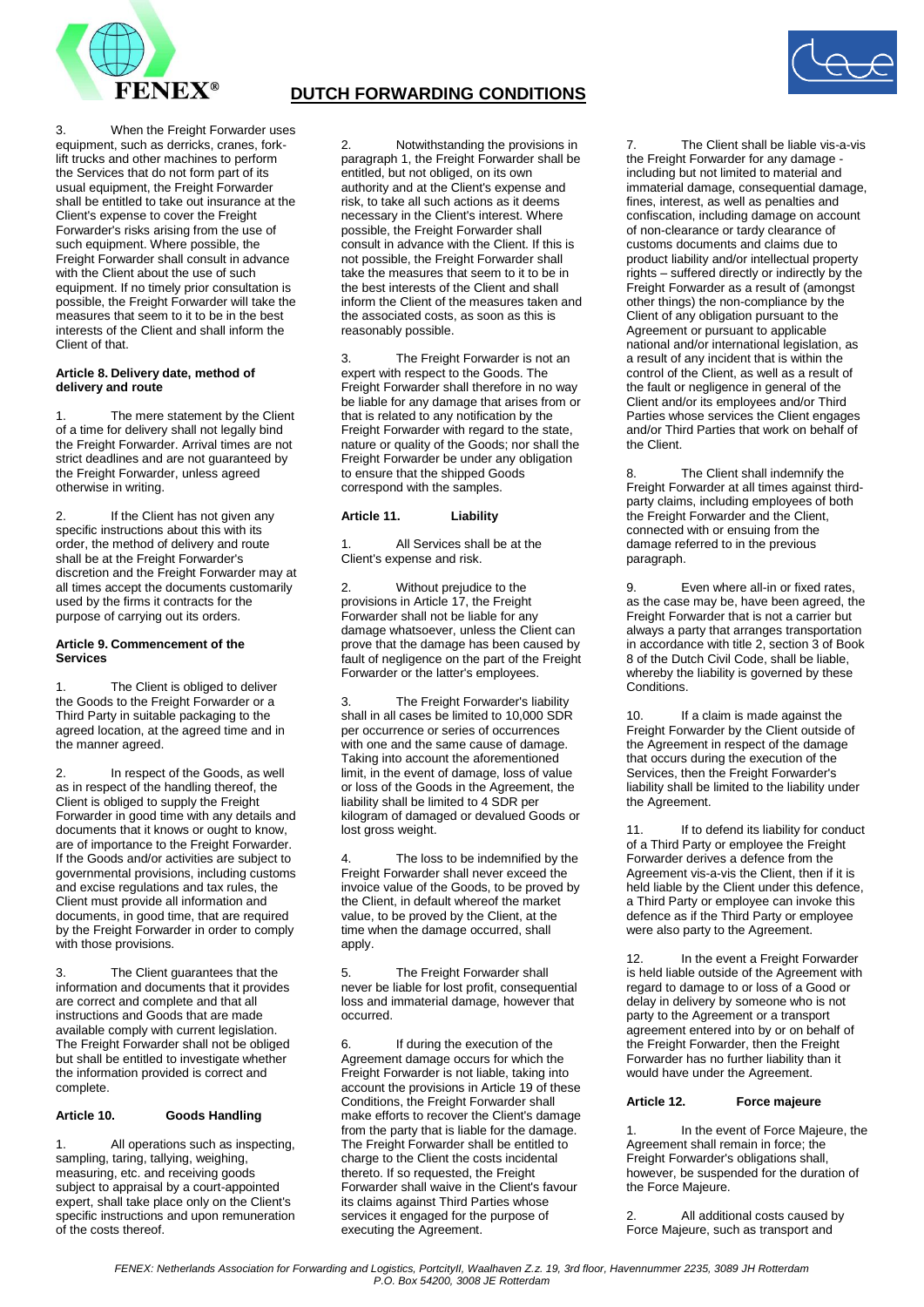

When the Freight Forwarder uses equipment, such as derricks, cranes, forklift trucks and other machines to perform the Services that do not form part of its usual equipment, the Freight Forwarder shall be entitled to take out insurance at the Client's expense to cover the Freight Forwarder's risks arising from the use of such equipment. Where possible, the Freight Forwarder shall consult in advance with the Client about the use of such equipment. If no timely prior consultation is possible, the Freight Forwarder will take the measures that seem to it to be in the best interests of the Client and shall inform the Client of that.

### **Article 8. Delivery date, method of delivery and route**

The mere statement by the Client of a time for delivery shall not legally bind the Freight Forwarder. Arrival times are not strict deadlines and are not guaranteed by the Freight Forwarder, unless agreed otherwise in writing.

2. If the Client has not given any specific instructions about this with its order, the method of delivery and route shall be at the Freight Forwarder's discretion and the Freight Forwarder may at all times accept the documents customarily used by the firms it contracts for the purpose of carrying out its orders.

### **Article 9. Commencement of the Services**

The Client is obliged to deliver the Goods to the Freight Forwarder or a Third Party in suitable packaging to the agreed location, at the agreed time and in the manner agreed.

2. In respect of the Goods, as well as in respect of the handling thereof, the Client is obliged to supply the Freight Forwarder in good time with any details and documents that it knows or ought to know, are of importance to the Freight Forwarder. If the Goods and/or activities are subject to governmental provisions, including customs and excise regulations and tax rules, the Client must provide all information and documents, in good time, that are required by the Freight Forwarder in order to comply with those provisions.

The Client guarantees that the information and documents that it provides are correct and complete and that all instructions and Goods that are made available comply with current legislation. The Freight Forwarder shall not be obliged but shall be entitled to investigate whether the information provided is correct and complete.

## **Article 10. Goods Handling**

1. All operations such as inspecting, sampling, taring, tallying, weighing, measuring, etc. and receiving goods subject to appraisal by a court-appointed expert, shall take place only on the Client's specific instructions and upon remuneration of the costs thereof.

# **DUTCH FORWARDING CONDITIONS**

2. Notwithstanding the provisions in paragraph 1, the Freight Forwarder shall be entitled, but not obliged, on its own authority and at the Client's expense and risk, to take all such actions as it deems necessary in the Client's interest. Where possible, the Freight Forwarder shall consult in advance with the Client. If this is not possible, the Freight Forwarder shall take the measures that seem to it to be in the best interests of the Client and shall inform the Client of the measures taken and the associated costs, as soon as this is reasonably possible.

3. The Freight Forwarder is not an expert with respect to the Goods. The Freight Forwarder shall therefore in no way be liable for any damage that arises from or that is related to any notification by the Freight Forwarder with regard to the state, nature or quality of the Goods; nor shall the Freight Forwarder be under any obligation to ensure that the shipped Goods correspond with the samples.

## **Article 11. Liability**

All Services shall be at the Client's expense and risk.

2. Without prejudice to the provisions in Article 17, the Freight Forwarder shall not be liable for any damage whatsoever, unless the Client can prove that the damage has been caused by fault of negligence on the part of the Freight Forwarder or the latter's employees.

3. The Freight Forwarder's liability shall in all cases be limited to 10,000 SDR per occurrence or series of occurrences with one and the same cause of damage. Taking into account the aforementioned limit, in the event of damage, loss of value or loss of the Goods in the Agreement, the liability shall be limited to 4 SDR per kilogram of damaged or devalued Goods or lost gross weight.

The loss to be indemnified by the Freight Forwarder shall never exceed the invoice value of the Goods, to be proved by the Client, in default whereof the market value, to be proved by the Client, at the time when the damage occurred, shall apply.

5. The Freight Forwarder shall never be liable for lost profit, consequential loss and immaterial damage, however that occurred.

6. If during the execution of the Agreement damage occurs for which the Freight Forwarder is not liable, taking into account the provisions in Article 19 of these Conditions, the Freight Forwarder shall make efforts to recover the Client's damage from the party that is liable for the damage. The Freight Forwarder shall be entitled to charge to the Client the costs incidental thereto. If so requested, the Freight Forwarder shall waive in the Client's favour its claims against Third Parties whose services it engaged for the purpose of executing the Agreement.

The Client shall be liable vis-a-vis the Freight Forwarder for any damage including but not limited to material and immaterial damage, consequential damage, fines, interest, as well as penalties and confiscation, including damage on account of non-clearance or tardy clearance of customs documents and claims due to product liability and/or intellectual property rights – suffered directly or indirectly by the Freight Forwarder as a result of (amongst other things) the non-compliance by the Client of any obligation pursuant to the Agreement or pursuant to applicable national and/or international legislation, as a result of any incident that is within the control of the Client, as well as a result of the fault or negligence in general of the Client and/or its employees and/or Third Parties whose services the Client engages and/or Third Parties that work on behalf of the Client.

8. The Client shall indemnify the Freight Forwarder at all times against thirdparty claims, including employees of both the Freight Forwarder and the Client, connected with or ensuing from the damage referred to in the previous paragraph.

9. Even where all-in or fixed rates, as the case may be, have been agreed, the Freight Forwarder that is not a carrier but always a party that arranges transportation in accordance with title 2, section 3 of Book 8 of the Dutch Civil Code, shall be liable, whereby the liability is governed by these Conditions.

10. If a claim is made against the Freight Forwarder by the Client outside of the Agreement in respect of the damage that occurs during the execution of the Services, then the Freight Forwarder's liability shall be limited to the liability under the Agreement.

11. If to defend its liability for conduct of a Third Party or employee the Freight Forwarder derives a defence from the Agreement vis-a-vis the Client, then if it is held liable by the Client under this defence, a Third Party or employee can invoke this defence as if the Third Party or employee were also party to the Agreement.

12. In the event a Freight Forwarder is held liable outside of the Agreement with regard to damage to or loss of a Good or delay in delivery by someone who is not party to the Agreement or a transport agreement entered into by or on behalf of the Freight Forwarder, then the Freight Forwarder has no further liability than it would have under the Agreement.

### **Article 12. Force majeure**

1. In the event of Force Majeure, the Agreement shall remain in force; the Freight Forwarder's obligations shall, however, be suspended for the duration of the Force Majeure.

2. All additional costs caused by Force Majeure, such as transport and

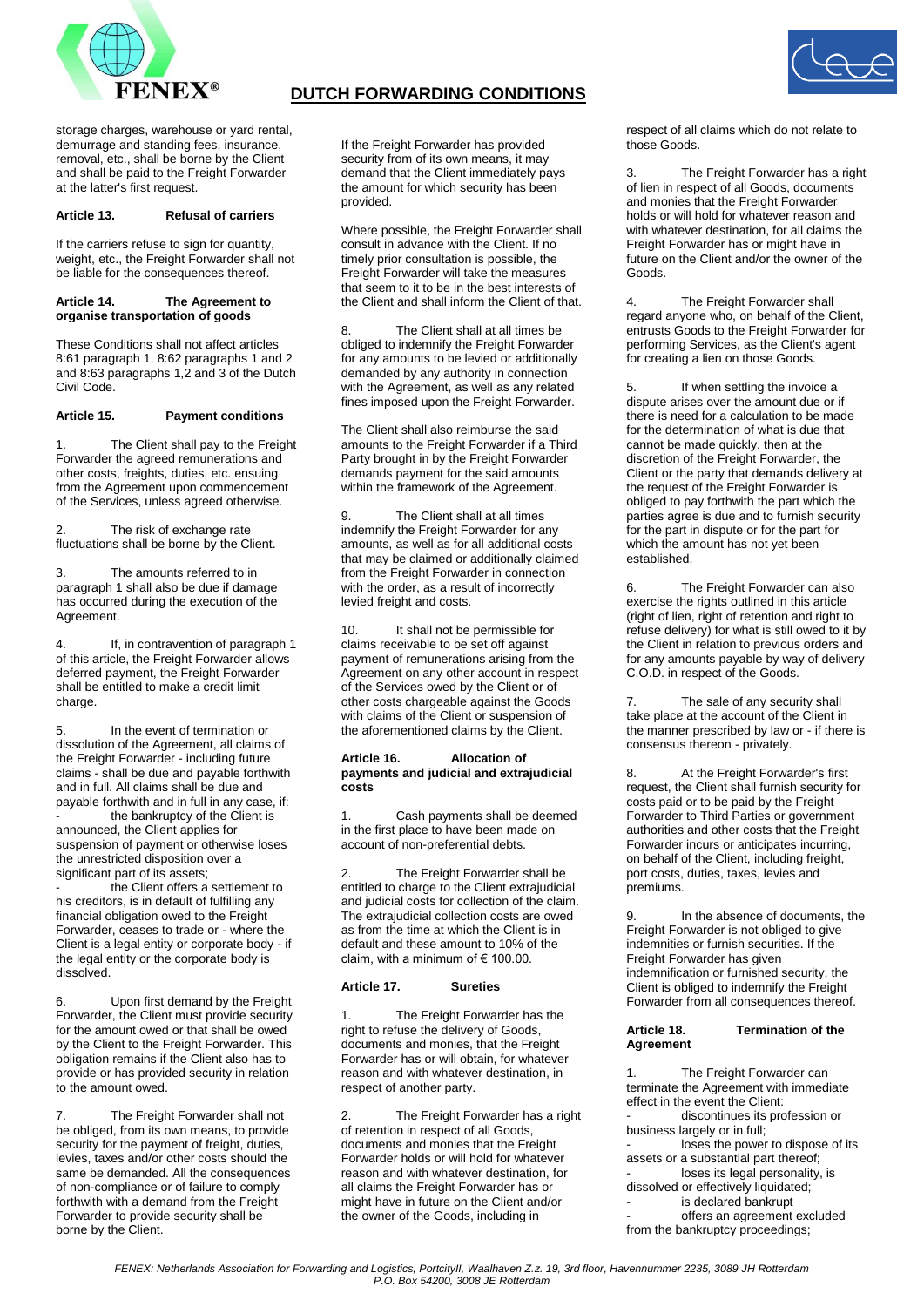

# **DUTCH FORWARDING CONDITIONS**



storage charges, warehouse or yard rental, demurrage and standing fees, insurance, removal, etc., shall be borne by the Client and shall be paid to the Freight Forwarder at the latter's first request.

## **Article 13. Refusal of carriers**

If the carriers refuse to sign for quantity, weight, etc., the Freight Forwarder shall not be liable for the consequences thereof.

#### **Article 14. The Agreement to organise transportation of goods**

These Conditions shall not affect articles 8:61 paragraph 1, 8:62 paragraphs 1 and 2 and 8:63 paragraphs 1,2 and 3 of the Dutch Civil Code.

### **Article 15. Payment conditions**

The Client shall pay to the Freight Forwarder the agreed remunerations and other costs, freights, duties, etc. ensuing from the Agreement upon commencement of the Services, unless agreed otherwise.

2. The risk of exchange rate fluctuations shall be borne by the Client.

3. The amounts referred to in paragraph 1 shall also be due if damage has occurred during the execution of the Agreement.

4. If, in contravention of paragraph 1 of this article, the Freight Forwarder allows deferred payment, the Freight Forwarder shall be entitled to make a credit limit charge.

In the event of termination or dissolution of the Agreement, all claims of the Freight Forwarder - including future claims - shall be due and payable forthwith and in full. All claims shall be due and payable forthwith and in full in any case, if: the bankruptcy of the Client is announced, the Client applies for suspension of payment or otherwise loses the unrestricted disposition over a significant part of its assets;

the Client offers a settlement to his creditors, is in default of fulfilling any financial obligation owed to the Freight Forwarder, ceases to trade or - where the Client is a legal entity or corporate body - if the legal entity or the corporate body is dissolved.

Upon first demand by the Freight Forwarder, the Client must provide security for the amount owed or that shall be owed by the Client to the Freight Forwarder. This obligation remains if the Client also has to provide or has provided security in relation to the amount owed.

7. The Freight Forwarder shall not be obliged, from its own means, to provide security for the payment of freight, duties, levies, taxes and/or other costs should the same be demanded. All the consequences of non-compliance or of failure to comply forthwith with a demand from the Freight Forwarder to provide security shall be borne by the Client.

If the Freight Forwarder has provided security from of its own means, it may demand that the Client immediately pays the amount for which security has been provided.

Where possible, the Freight Forwarder shall consult in advance with the Client. If no timely prior consultation is possible, the Freight Forwarder will take the measures that seem to it to be in the best interests of the Client and shall inform the Client of that.

8. The Client shall at all times be obliged to indemnify the Freight Forwarder for any amounts to be levied or additionally demanded by any authority in connection with the Agreement, as well as any related fines imposed upon the Freight Forwarder.

The Client shall also reimburse the said amounts to the Freight Forwarder if a Third Party brought in by the Freight Forwarder demands payment for the said amounts within the framework of the Agreement.

9. The Client shall at all times indemnify the Freight Forwarder for any amounts, as well as for all additional costs that may be claimed or additionally claimed from the Freight Forwarder in connection with the order, as a result of incorrectly levied freight and costs.

10. It shall not be permissible for claims receivable to be set off against payment of remunerations arising from the Agreement on any other account in respect of the Services owed by the Client or of other costs chargeable against the Goods with claims of the Client or suspension of the aforementioned claims by the Client.

#### **Article 16. Allocation of payments and judicial and extrajudicial costs**

1. Cash payments shall be deemed in the first place to have been made on account of non-preferential debts.

2. The Freight Forwarder shall be entitled to charge to the Client extrajudicial and judicial costs for collection of the claim. The extrajudicial collection costs are owed as from the time at which the Client is in default and these amount to 10% of the claim, with a minimum of  $\epsilon$  100.00.

### **Article 17. Sureties**

The Freight Forwarder has the right to refuse the delivery of Goods, documents and monies, that the Freight Forwarder has or will obtain, for whatever reason and with whatever destination, in respect of another party.

2. The Freight Forwarder has a right of retention in respect of all Goods, documents and monies that the Freight Forwarder holds or will hold for whatever reason and with whatever destination, for all claims the Freight Forwarder has or might have in future on the Client and/or the owner of the Goods, including in

respect of all claims which do not relate to those Goods.

The Freight Forwarder has a right of lien in respect of all Goods, documents and monies that the Freight Forwarder holds or will hold for whatever reason and with whatever destination, for all claims the Freight Forwarder has or might have in future on the Client and/or the owner of the Goods.

4. The Freight Forwarder shall regard anyone who, on behalf of the Client, entrusts Goods to the Freight Forwarder for performing Services, as the Client's agent for creating a lien on those Goods.

If when settling the invoice a dispute arises over the amount due or if there is need for a calculation to be made for the determination of what is due that cannot be made quickly, then at the discretion of the Freight Forwarder, the Client or the party that demands delivery at the request of the Freight Forwarder is obliged to pay forthwith the part which the parties agree is due and to furnish security for the part in dispute or for the part for which the amount has not yet been established.

6. The Freight Forwarder can also exercise the rights outlined in this article (right of lien, right of retention and right to refuse delivery) for what is still owed to it by the Client in relation to previous orders and for any amounts payable by way of delivery C.O.D. in respect of the Goods.

7. The sale of any security shall take place at the account of the Client in the manner prescribed by law or - if there is consensus thereon - privately.

8. At the Freight Forwarder's first request, the Client shall furnish security for costs paid or to be paid by the Freight Forwarder to Third Parties or government authorities and other costs that the Freight Forwarder incurs or anticipates incurring, on behalf of the Client, including freight, port costs, duties, taxes, levies and premiums.

9. In the absence of documents, the Freight Forwarder is not obliged to give indemnities or furnish securities. If the Freight Forwarder has given indemnification or furnished security, the Client is obliged to indemnify the Freight Forwarder from all consequences thereof.

### **Article 18. Termination of the Agreement**

1. The Freight Forwarder can terminate the Agreement with immediate effect in the event the Client:

discontinues its profession or business largely or in full;

loses the power to dispose of its assets or a substantial part thereof;

loses its legal personality, is dissolved or effectively liquidated;

is declared bankrupt

offers an agreement excluded from the bankruptcy proceedings;